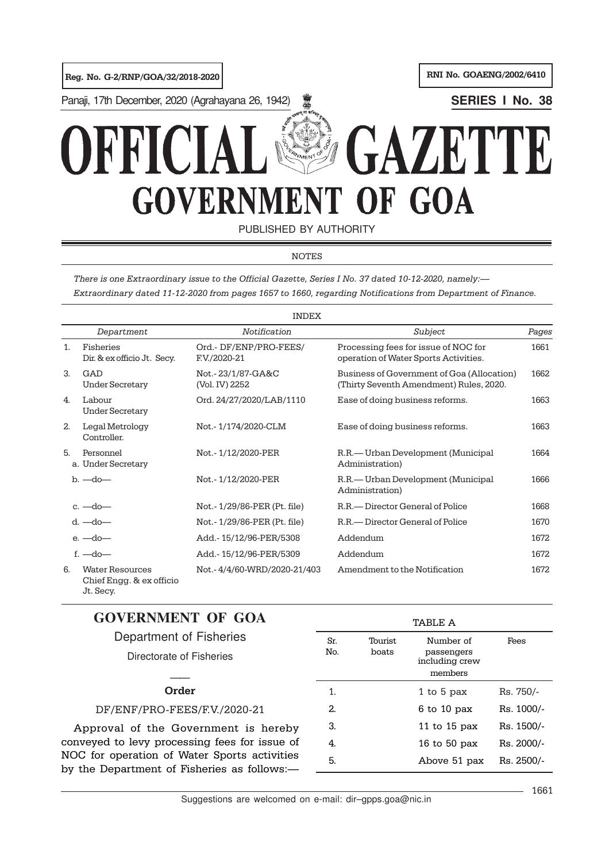

PUBLISHED BY AUTHORITY

## NOTES

There is one Extraordinary issue to the Official Gazette, Series I No. 37 dated 10-12-2020, namely:— Extraordinary dated 11-12-2020 from pages 1657 to 1660, regarding Notifications from Department of Finance.

|              | <b>INDEX</b>                                                    |                                       |                                                                                       |       |  |  |  |  |
|--------------|-----------------------------------------------------------------|---------------------------------------|---------------------------------------------------------------------------------------|-------|--|--|--|--|
|              | Department                                                      | Notification                          | Subject                                                                               | Pages |  |  |  |  |
| $1_{-}$      | Fisheries<br>Dir. & ex officio Jt. Secy.                        | Ord.-DF/ENP/PRO-FEES/<br>F.V./2020-21 | Processing fees for issue of NOC for<br>operation of Water Sports Activities.         | 1661  |  |  |  |  |
| 3.           | GAD<br><b>Under Secretary</b>                                   | Not.-23/1/87-GA&C<br>(Vol. IV) 2252   | Business of Government of Goa (Allocation)<br>(Thirty Seventh Amendment) Rules, 2020. | 1662  |  |  |  |  |
| $\mathbf{4}$ | Labour<br><b>Under Secretary</b>                                | Ord. 24/27/2020/LAB/1110              | Ease of doing business reforms.                                                       | 1663  |  |  |  |  |
| 2.           | Legal Metrology<br>Controller.                                  | Not.-1/174/2020-CLM                   | Ease of doing business reforms.                                                       | 1663  |  |  |  |  |
| 5.           | Personnel<br>a. Under Secretary                                 | Not.-1/12/2020-PER                    | R.R.— Urban Development (Municipal<br>Administration)                                 | 1664  |  |  |  |  |
|              | $b. -do -$                                                      | Not.-1/12/2020-PER                    | R.R.— Urban Development (Municipal<br>Administration)                                 | 1666  |  |  |  |  |
|              | $c. -do -$                                                      | Not.-1/29/86-PER (Pt. file)           | R.R. - Director General of Police                                                     | 1668  |  |  |  |  |
|              | $d. -do -$                                                      | Not.-1/29/86-PER (Pt. file)           | R.R. - Director General of Police                                                     | 1670  |  |  |  |  |
|              | $e. -do -$                                                      | Add.-15/12/96-PER/5308                | Addendum                                                                              | 1672  |  |  |  |  |
|              | $f.$ $-do$ $-$                                                  | Add.-15/12/96-PER/5309                | Addendum                                                                              | 1672  |  |  |  |  |
| 6.           | <b>Water Resources</b><br>Chief Engg. & ex officio<br>Jt. Secy. | Not. - 4/4/60-WRD/2020-21/403         | Amendment to the Notification                                                         | 1672  |  |  |  |  |

# **GOVERNMENT OF GOA**

| Department of Fisheries<br>Directorate of Fisheries                                         | Sr.<br>No. | Tourist<br>boats | Number of<br>passengers<br>including crew<br>members | Fees       |
|---------------------------------------------------------------------------------------------|------------|------------------|------------------------------------------------------|------------|
| Order                                                                                       | 1.         |                  | 1 to 5 pax                                           | Rs. 750/-  |
| DF/ENF/PRO-FEES/F.V./2020-21                                                                | 2.         |                  | $6$ to 10 pax                                        | Rs. 1000/- |
| Approval of the Government is hereby                                                        | З.         |                  | 11 to $15$ pax                                       | Rs. 1500/- |
| conveyed to levy processing fees for issue of                                               | 4.         |                  | 16 to 50 $\mu$ ax                                    | Rs. 2000/- |
| NOC for operation of Water Sports activities<br>by the Department of Fisheries as follows:- | 5.         |                  | Above 51 pax                                         | Rs. 2500/- |

TABLE A

Suggestions are welcomed on e-mail: dir–gpps.goa@nic.in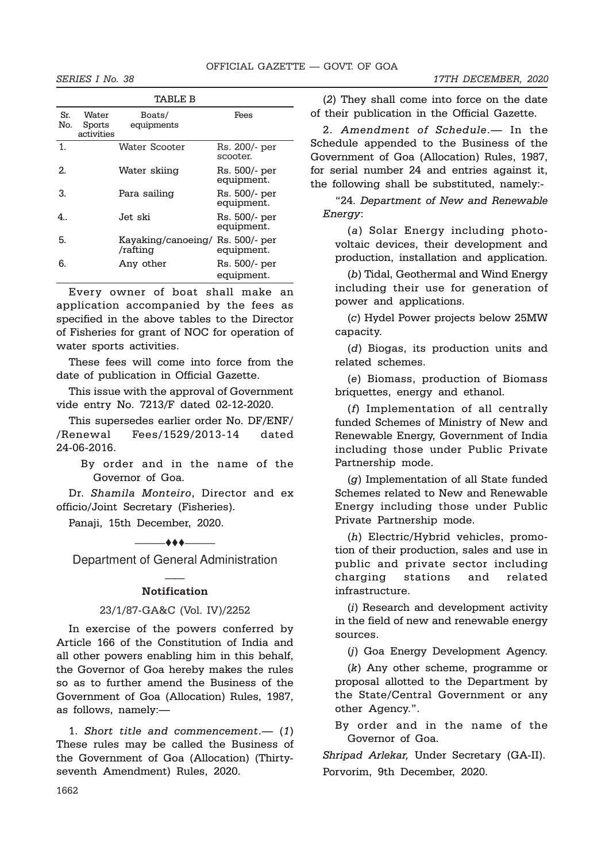|            | TABLE B                       |                                              |                             |  |  |  |  |  |  |
|------------|-------------------------------|----------------------------------------------|-----------------------------|--|--|--|--|--|--|
| Sr.<br>No. | Water<br>Sports<br>activities | Boats/<br>equipments                         | Fees                        |  |  |  |  |  |  |
| 1.         |                               | Water Scooter                                | Rs. 200/- per<br>scooter.   |  |  |  |  |  |  |
| 2.         |                               | Water skiing                                 | Rs. 500/- per<br>equipment. |  |  |  |  |  |  |
| З.         |                               | Para sailing                                 | Rs. 500/- per<br>equipment. |  |  |  |  |  |  |
| 4          |                               | Jet ski                                      | Rs. 500/- per<br>equipment. |  |  |  |  |  |  |
| 5.         |                               | Kayaking/canoeing/ Rs. 500/- per<br>/rafting | equipment.                  |  |  |  |  |  |  |
| 6.         |                               | Any other                                    | Rs. 500/- per<br>equipment. |  |  |  |  |  |  |

Every owner of boat shall make an application accompanied by the fees as specified in the above tables to the Director of Fisheries for grant of NOC for operation of water sports activities.

These fees will come into force from the date of publication in Official Gazette.

This issue with the approval of Government vide entry No. 7213/F dated 02-12-2020.

This supersedes earlier order No. DF/ENF/ /Renewal Fees/1529/2013-14 dated 24-06-2016.

> By order and in the name of the Governor of Goa.

Dr. Shamila Monteiro, Director and ex officio/Joint Secretary (Fisheries).

Panaji, 15th December, 2020.

Department of General Administration

 $\overline{\phantom{a}}$ 

## —— **Notification**

## 23/1/87-GA&C (Vol. IV)/2252

In exercise of the powers conferred by Article 166 of the Constitution of India and all other powers enabling him in this behalf, the Governor of Goa hereby makes the rules so as to further amend the Business of the Government of Goa (Allocation) Rules, 1987, as follows, namely:—

1. Short title and commencement.— (1) These rules may be called the Business of the Government of Goa (Allocation) (Thirtyseventh Amendment) Rules, 2020.

(2) They shall come into force on the date of their publication in the Official Gazette.

2. Amendment of Schedule.— In the Schedule appended to the Business of the Government of Goa (Allocation) Rules, 1987, for serial number 24 and entries against it, the following shall be substituted, namely:-

"24. Department of New and Renewable Energy:

(a) Solar Energy including photovoltaic devices, their development and production, installation and application.

(b) Tidal, Geothermal and Wind Energy including their use for generation of power and applications.

(c) Hydel Power projects below 25MW capacity.

(d) Biogas, its production units and related schemes.

(e) Biomass, production of Biomass briquettes, energy and ethanol.

(f) Implementation of all centrally funded Schemes of Ministry of New and Renewable Energy, Government of India including those under Public Private Partnership mode.

(g) Implementation of all State funded Schemes related to New and Renewable Energy including those under Public Private Partnership mode.

(h) Electric/Hybrid vehicles, promotion of their production, sales and use in public and private sector including charging stations and related infrastructure.

(i) Research and development activity in the field of new and renewable energy sources.

(j) Goa Energy Development Agency.

(k) Any other scheme, programme or proposal allotted to the Department by the State/Central Government or any other Agency.".

By order and in the name of the Governor of Goa.

Shripad Arlekar, Under Secretary (GA-II). Porvorim, 9th December, 2020.

1662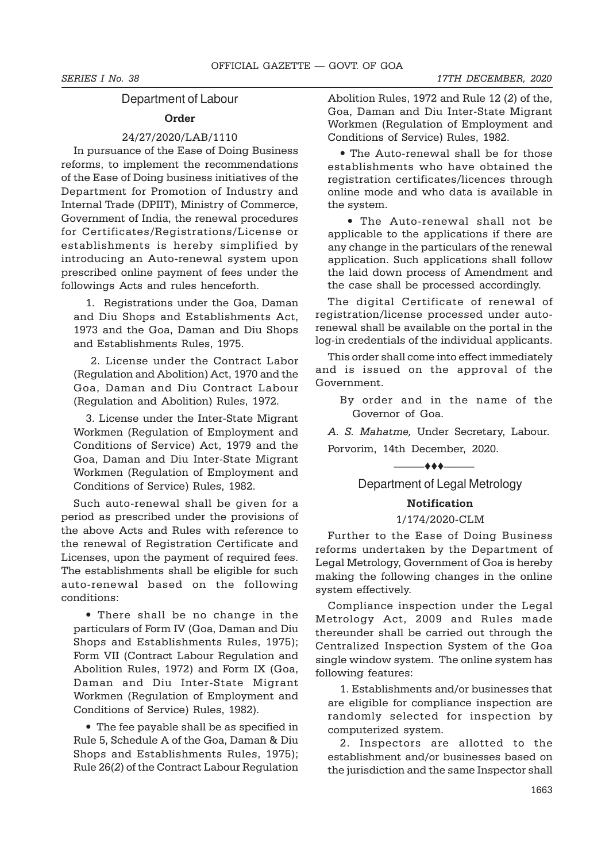## Department of Labour

## Order

## 24/27/2020/LAB/1110

In pursuance of the Ease of Doing Business reforms, to implement the recommendations of the Ease of Doing business initiatives of the Department for Promotion of Industry and Internal Trade (DPIIT), Ministry of Commerce, Government of India, the renewal procedures for Certificates/Registrations/License or establishments is hereby simplified by introducing an Auto-renewal system upon prescribed online payment of fees under the followings Acts and rules henceforth.

1. Registrations under the Goa, Daman and Diu Shops and Establishments Act, 1973 and the Goa, Daman and Diu Shops and Establishments Rules, 1975.

 2. License under the Contract Labor (Regulation and Abolition) Act, 1970 and the Goa, Daman and Diu Contract Labour (Regulation and Abolition) Rules, 1972.

3. License under the Inter-State Migrant Workmen (Regulation of Employment and Conditions of Service) Act, 1979 and the Goa, Daman and Diu Inter-State Migrant Workmen (Regulation of Employment and Conditions of Service) Rules, 1982.

Such auto-renewal shall be given for a period as prescribed under the provisions of the above Acts and Rules with reference to the renewal of Registration Certificate and Licenses, upon the payment of required fees. The establishments shall be eligible for such auto-renewal based on the following conditions:

• There shall be no change in the particulars of Form IV (Goa, Daman and Diu Shops and Establishments Rules, 1975); Form VII (Contract Labour Regulation and Abolition Rules, 1972) and Form IX (Goa, Daman and Diu Inter-State Migrant Workmen (Regulation of Employment and Conditions of Service) Rules, 1982).

• The fee payable shall be as specified in Rule 5, Schedule A of the Goa, Daman & Diu Shops and Establishments Rules, 1975); Rule 26(2) of the Contract Labour Regulation Abolition Rules, 1972 and Rule 12 (2) of the, Goa, Daman and Diu Inter-State Migrant Workmen (Regulation of Employment and Conditions of Service) Rules, 1982.

• The Auto-renewal shall be for those establishments who have obtained the registration certificates/licences through online mode and who data is available in the system.

• The Auto-renewal shall not be applicable to the applications if there are any change in the particulars of the renewal application. Such applications shall follow the laid down process of Amendment and the case shall be processed accordingly.

The digital Certificate of renewal of registration/license processed under autorenewal shall be available on the portal in the log-in credentials of the individual applicants.

This order shall come into effect immediately and is issued on the approval of the Government.

By order and in the name of the Governor of Goa.

A. S. Mahatme, Under Secretary, Labour.

Porvorim, 14th December, 2020.

# $\longrightarrow$ Department of Legal Metrology

## Notification

## 1/174/2020-CLM

Further to the Ease of Doing Business reforms undertaken by the Department of Legal Metrology, Government of Goa is hereby making the following changes in the online system effectively.

Compliance inspection under the Legal Metrology Act, 2009 and Rules made thereunder shall be carried out through the Centralized Inspection System of the Goa single window system. The online system has following features:

1. Establishments and/or businesses that are eligible for compliance inspection are randomly selected for inspection by computerized system.

2. Inspectors are allotted to the establishment and/or businesses based on the jurisdiction and the same Inspector shall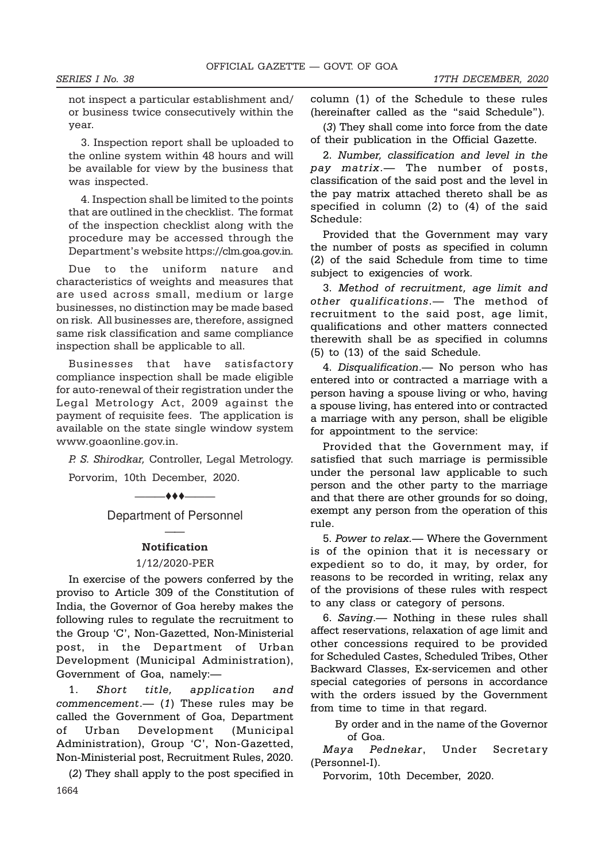not inspect a particular establishment and/ or business twice consecutively within the year.

3. Inspection report shall be uploaded to the online system within 48 hours and will be available for view by the business that was inspected.

4. Inspection shall be limited to the points that are outlined in the checklist. The format of the inspection checklist along with the procedure may be accessed through the Department's website https://clm.goa.gov.in.

Due to the uniform nature and characteristics of weights and measures that are used across small, medium or large businesses, no distinction may be made based on risk. All businesses are, therefore, assigned same risk classification and same compliance inspection shall be applicable to all.

Businesses that have satisfactory compliance inspection shall be made eligible for auto-renewal of their registration under the Legal Metrology Act, 2009 against the payment of requisite fees. The application is available on the state single window system www.goaonline.gov.in.

P. S. Shirodkar, Controller, Legal Metrology. Porvorim, 10th December, 2020.

Department of Personnel

———ttt———

## —— **Notification**

#### 1/12/2020-PER

In exercise of the powers conferred by the proviso to Article 309 of the Constitution of India, the Governor of Goa hereby makes the following rules to regulate the recruitment to the Group 'C', Non-Gazetted, Non-Ministerial post, in the Department of Urban Development (Municipal Administration), Government of Goa, namely:—

1. Short title, application and commencement.— $(1)$  These rules may be called the Government of Goa, Department of Urban Development (Municipal Administration), Group 'C', Non-Gazetted, Non-Ministerial post, Recruitment Rules, 2020.

1664 (2) They shall apply to the post specified in column (1) of the Schedule to these rules (hereinafter called as the "said Schedule").

(3) They shall come into force from the date of their publication in the Official Gazette.

2. Number, classification and level in the pay matrix.— The number of posts, classification of the said post and the level in the pay matrix attached thereto shall be as specified in column (2) to (4) of the said Schedule:

Provided that the Government may vary the number of posts as specified in column (2) of the said Schedule from time to time subject to exigencies of work.

3. Method of recruitment, age limit and other qualifications.— The method of recruitment to the said post, age limit, qualifications and other matters connected therewith shall be as specified in columns (5) to (13) of the said Schedule.

4. Disqualification.— No person who has entered into or contracted a marriage with a person having a spouse living or who, having a spouse living, has entered into or contracted a marriage with any person, shall be eligible for appointment to the service:

Provided that the Government may, if satisfied that such marriage is permissible under the personal law applicable to such person and the other party to the marriage and that there are other grounds for so doing, exempt any person from the operation of this rule.

5. Power to relax.— Where the Government is of the opinion that it is necessary or expedient so to do, it may, by order, for reasons to be recorded in writing, relax any of the provisions of these rules with respect to any class or category of persons.

6. Saving.— Nothing in these rules shall affect reservations, relaxation of age limit and other concessions required to be provided for Scheduled Castes, Scheduled Tribes, Other Backward Classes, Ex-servicemen and other special categories of persons in accordance with the orders issued by the Government from time to time in that regard.

By order and in the name of the Governor of Goa.

Maya Pednekar, Under Secretary (Personnel-I).

Porvorim, 10th December, 2020.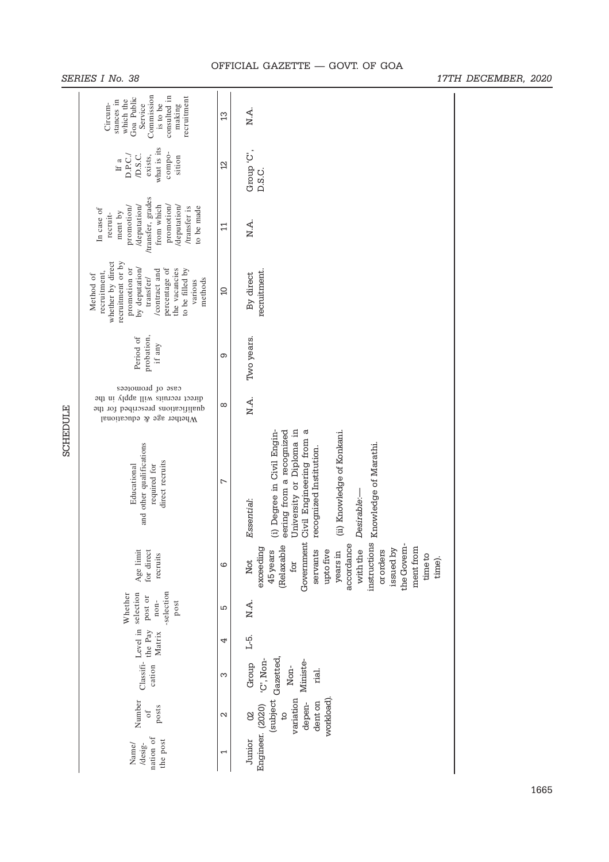|                 | SERIES I No. 38                                                                                                                                                                                                |                   |                                                                                                                                                                                                                                                    | 17TH DECEMBER, 2020 |
|-----------------|----------------------------------------------------------------------------------------------------------------------------------------------------------------------------------------------------------------|-------------------|----------------------------------------------------------------------------------------------------------------------------------------------------------------------------------------------------------------------------------------------------|---------------------|
|                 | Commission<br>consulted in<br>recruitment<br>Goa Public<br>which the<br>stances in<br>Service<br>is to be<br>Circum-<br>making                                                                                 | 13                | N.A.                                                                                                                                                                                                                                               |                     |
|                 | what is its<br>compo-<br>D.S.C.<br>D.P.C./<br>exists,<br>sition<br>If a                                                                                                                                        | 2                 | Group 'C',<br>D.S.C.                                                                                                                                                                                                                               |                     |
|                 | /transfer, grades<br>/deputation/<br>from which<br>promotion/<br>/deputation/<br>to be made<br>promotion/<br>/transfer is<br>In case of<br>ment by<br>recruit-                                                 | $\Xi$             | N.A.                                                                                                                                                                                                                                               |                     |
|                 | whether by direct<br>recruitment or by<br>promotion or<br>by deputation/<br>percentage of<br>the vacancies<br>to be filled by<br>/contract and<br>recruitment,<br>Method of<br>transfer/<br>methods<br>various | $\Omega$          | recruitment.<br>By direct                                                                                                                                                                                                                          |                     |
|                 | probation,<br>Period of<br>if any                                                                                                                                                                              | ၜ                 | Two years.                                                                                                                                                                                                                                         |                     |
|                 | case of promotees<br>direct recruits will apply in the<br>qualifications prescribed for the<br>Whether age & educational                                                                                       | ${}^{\circ}$      | N.A.                                                                                                                                                                                                                                               |                     |
| <b>SCHEDULE</b> | and other qualifications<br>direct recruits<br>Educational<br>required for                                                                                                                                     | $\overline{ }$    | University or Diploma in<br>đ<br>eering from a recognized<br>Degree in Civil Engin-<br>(ii) Knowledge of Konkani.<br>Government Civil Engineering from<br>Knowledge of Marathi.<br>recognized Institution.<br>Desirable:-<br>Essential:<br>$\odot$ |                     |
|                 | Age limit<br>for direct<br>recruits                                                                                                                                                                            | ဖ                 | instructions<br>accordance<br>the Govem-<br>(Relaxable<br>ment from<br>exceeding<br>issued by<br>with the<br>or orders<br>45 years<br>servants<br>upto five<br>years in<br>timeto<br>Not<br>for                                                    | time).              |
|                 | -selection<br>Whether<br>Classifi-Level in selection<br>post or<br>$n$ on-<br>post                                                                                                                             | Б                 | N.A.                                                                                                                                                                                                                                               |                     |
|                 | the Pay<br>Matrix                                                                                                                                                                                              | 4                 | L-5.                                                                                                                                                                                                                                               |                     |
|                 | cation                                                                                                                                                                                                         | S                 | 'C', Non-<br>Ministe-<br>Group<br>Non-<br>rial.                                                                                                                                                                                                    |                     |
|                 | Number<br>posts<br>$\mathfrak{o}\mathfrak{f}$                                                                                                                                                                  | $\mathbf{\Omega}$ | (subject Gazetted,<br>variation<br>workload)<br>dent on<br>depen-<br>$\delta$<br>$\beta$                                                                                                                                                           |                     |
|                 | nation of<br>the post<br>/desig-<br>Name/                                                                                                                                                                      | ſ                 | Engineer. (2020)<br>Junior                                                                                                                                                                                                                         |                     |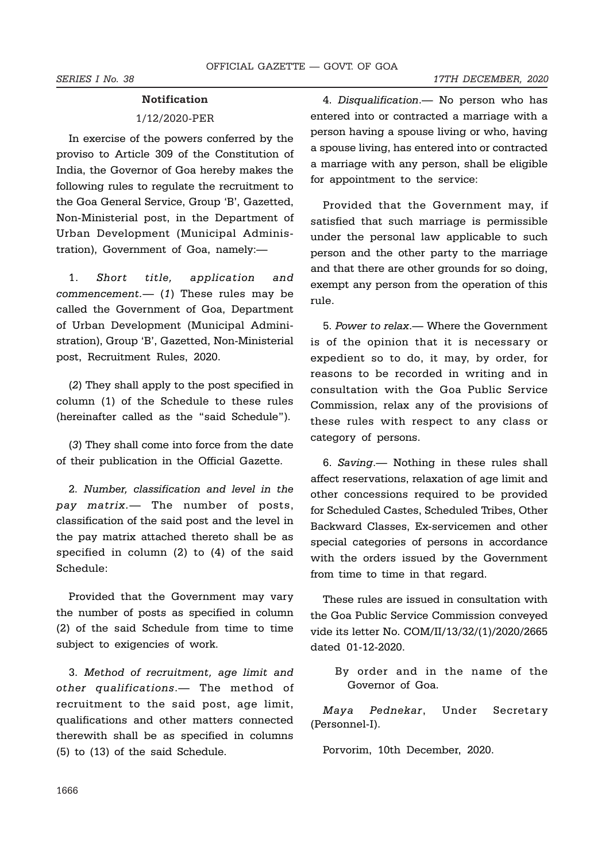#### **Notification**

## 1/12/2020-PER

In exercise of the powers conferred by the proviso to Article 309 of the Constitution of India, the Governor of Goa hereby makes the following rules to regulate the recruitment to the Goa General Service, Group 'B', Gazetted, Non-Ministerial post, in the Department of Urban Development (Municipal Administration), Government of Goa, namely:—

1. Short title, application and commencement.— $(1)$  These rules may be called the Government of Goa, Department of Urban Development (Municipal Administration), Group 'B', Gazetted, Non-Ministerial post, Recruitment Rules, 2020.

(2) They shall apply to the post specified in column (1) of the Schedule to these rules (hereinafter called as the "said Schedule").

(3) They shall come into force from the date of their publication in the Official Gazette.

2. Number, classification and level in the pay matrix.— The number of posts, classification of the said post and the level in the pay matrix attached thereto shall be as specified in column (2) to (4) of the said Schedule:

Provided that the Government may vary the number of posts as specified in column (2) of the said Schedule from time to time subject to exigencies of work.

3. Method of recruitment, age limit and other qualifications.— The method of recruitment to the said post, age limit, qualifications and other matters connected therewith shall be as specified in columns (5) to (13) of the said Schedule.

4. Disqualification.— No person who has entered into or contracted a marriage with a person having a spouse living or who, having a spouse living, has entered into or contracted a marriage with any person, shall be eligible for appointment to the service:

Provided that the Government may, if satisfied that such marriage is permissible under the personal law applicable to such person and the other party to the marriage and that there are other grounds for so doing, exempt any person from the operation of this rule.

5. Power to relax.— Where the Government is of the opinion that it is necessary or expedient so to do, it may, by order, for reasons to be recorded in writing and in consultation with the Goa Public Service Commission, relax any of the provisions of these rules with respect to any class or category of persons.

6. Saving.— Nothing in these rules shall affect reservations, relaxation of age limit and other concessions required to be provided for Scheduled Castes, Scheduled Tribes, Other Backward Classes, Ex-servicemen and other special categories of persons in accordance with the orders issued by the Government from time to time in that regard.

These rules are issued in consultation with the Goa Public Service Commission conveyed vide its letter No. COM/II/13/32/(1)/2020/2665 dated 01-12-2020.

By order and in the name of the Governor of Goa.

Maya Pednekar, Under Secretary (Personnel-I).

Porvorim, 10th December, 2020.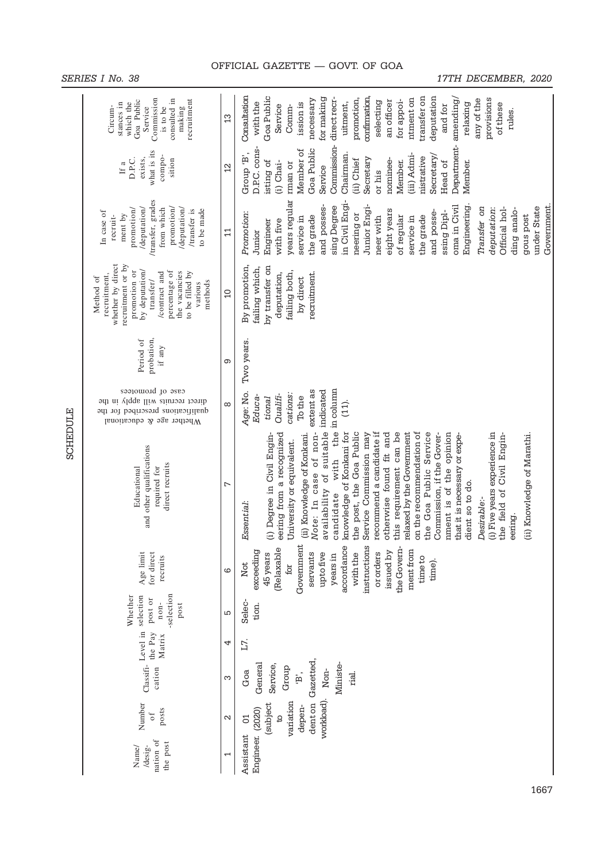|                 | Commission<br>consulted in<br>recruitment<br>Goa Public<br>stances in<br>which the<br>Circum-<br>Service<br>making<br>is to be                                                                                 | 13                       | Consultation<br>transfer on<br>deputation<br>Goa Public<br>confirmation.<br>for making<br>direct recr-<br>promotion,<br>provisions<br>necessary<br>ntment on<br>amending/<br>any of the<br>for appoi-<br>an officer<br>selecting<br>with the<br>uitment,<br>ission is<br>relaxing<br>of these<br>and for<br>Service<br>Comm-<br>rules.                                                                                                                                                                                                                                                                                                                                                                |
|-----------------|----------------------------------------------------------------------------------------------------------------------------------------------------------------------------------------------------------------|--------------------------|-------------------------------------------------------------------------------------------------------------------------------------------------------------------------------------------------------------------------------------------------------------------------------------------------------------------------------------------------------------------------------------------------------------------------------------------------------------------------------------------------------------------------------------------------------------------------------------------------------------------------------------------------------------------------------------------------------|
|                 | what is its<br>compo-<br>D.P.C.<br>exists,<br>sition<br>If a                                                                                                                                                   | $\overline{2}$           | Department-<br>Commission-<br>D.P.C. cons-<br>Goa Public<br>Member of<br>Group 'B',<br>Chairman<br>(iii) Admi-<br>Secretary/<br>nistrative<br>Secretary<br>(ii) Chief<br>nominee-<br>isting of<br>Member.<br>$(i)$ Chai-<br>Head of<br>Member.<br>rman or<br>Service<br>or his                                                                                                                                                                                                                                                                                                                                                                                                                        |
|                 | /transfer, grades<br>/deputation/<br>from which<br>promotion/<br>promotion/<br>/deputation/<br>/transfer is<br>to be made<br>In case of<br>ment by<br>recruit-                                                 | $\mathbf{1}$             | years regular<br>in Civil Engi-<br>and posses-<br>Junior Engi-<br>sing Degree<br>oma in Civil<br>Government<br>Engineering<br>under State<br>Transfer on<br>Official hol-<br>deputation:<br>ding analo-<br>eight years<br>and posse-<br>ssing Dipl-<br>Promotion:<br>neering or<br>gous post<br>the grade<br>the grade<br>of regular<br>service in<br>neer with<br>service in<br>with five<br>Engineer<br>Junior                                                                                                                                                                                                                                                                                      |
|                 | whether by direct<br>recruitment or by<br>by deputation/<br>promotion or<br>percentage of<br>the vacancies<br>to be filled by<br>/contract and<br>recruitment,<br>Method of<br>transfer/<br>methods<br>various | $\Omega$                 | By promotion,<br>by transfer on<br>failing which,<br>failing both,<br>deputation,<br>recruitment.<br>by direct                                                                                                                                                                                                                                                                                                                                                                                                                                                                                                                                                                                        |
|                 | probation,<br>Period of<br>if any $\,$                                                                                                                                                                         | တ                        | Two years.                                                                                                                                                                                                                                                                                                                                                                                                                                                                                                                                                                                                                                                                                            |
|                 | case of promotees<br>direct recruits will apply<br>əyı<br>UI<br>qualifications prescribed for the<br>Whether age & educational                                                                                 | $\infty$                 | in column<br>extent as<br>indicated<br>Age: No.<br>cations:<br>Qualifi-<br>Educa-<br>To the<br>tional<br>$(11)$ .                                                                                                                                                                                                                                                                                                                                                                                                                                                                                                                                                                                     |
| <b>SCHEDULE</b> | and other qualifications<br>direct recruits<br>required for<br>Educational                                                                                                                                     | ∼                        | with the<br>availability of suitable<br>on the recommendation of<br>Note: In case of non-<br>knowledge of Konkani for<br>the post, the Goa Public<br>recommend a candidate if<br>this requirement can be<br>relaxed by the Government<br>the Goa Public Service<br>(i) Five years experience in<br>(i) Degree in Civil Engin-<br>eering from a recognized<br>otherwise found fit and<br>Commission, if the Gover-<br>nment is of the opinion<br>(ii) Knowledge of Konkani.<br>Service Commission may<br>that it is necessary or expe-<br>(ii) Knowledge of Marathi.<br>the field of Civil Engin-<br>University or equivalent.<br>dient so to do.<br>candidate<br>Desirable:-<br>Essential:<br>eering. |
|                 | Age limit<br>for direct<br>recruits                                                                                                                                                                            | ဖ                        | Government<br>accordance<br>instructions<br>the Govern-<br>(Relaxable<br>ment from<br>exceeding<br>issued by<br>servants<br>upto five<br>with the<br>ororders<br>45 years<br>years in<br>time to<br>time).<br>Not<br>for                                                                                                                                                                                                                                                                                                                                                                                                                                                                              |
|                 | -selection<br>Whether<br>Classifi- Level in selection<br>post or<br>non-<br>post                                                                                                                               | 5                        | Selec-<br>tion.                                                                                                                                                                                                                                                                                                                                                                                                                                                                                                                                                                                                                                                                                       |
|                 | the Pay<br>Matrix                                                                                                                                                                                              | 4                        | L7.                                                                                                                                                                                                                                                                                                                                                                                                                                                                                                                                                                                                                                                                                                   |
|                 | cation                                                                                                                                                                                                         | Ω                        | Gazetted,<br>Ministe-<br>General<br>Service,<br>Group<br>Non-<br>Goa<br>$\mathbf{\hat{B}}$ ,<br>rial.                                                                                                                                                                                                                                                                                                                                                                                                                                                                                                                                                                                                 |
|                 | Number<br>posts<br>$\circ$ f                                                                                                                                                                                   | $\mathbf{\Omega}$        | workload).<br>variation<br>dent on<br>(subject<br>depen-<br>₿,<br><b>S</b>                                                                                                                                                                                                                                                                                                                                                                                                                                                                                                                                                                                                                            |
|                 | nation of<br>the post<br>/desig-<br>Name/                                                                                                                                                                      | $\overline{\phantom{0}}$ | Engineer. (2020)<br>Assistant                                                                                                                                                                                                                                                                                                                                                                                                                                                                                                                                                                                                                                                                         |

SERIES I No. 38 17TH DECEMBER, 2020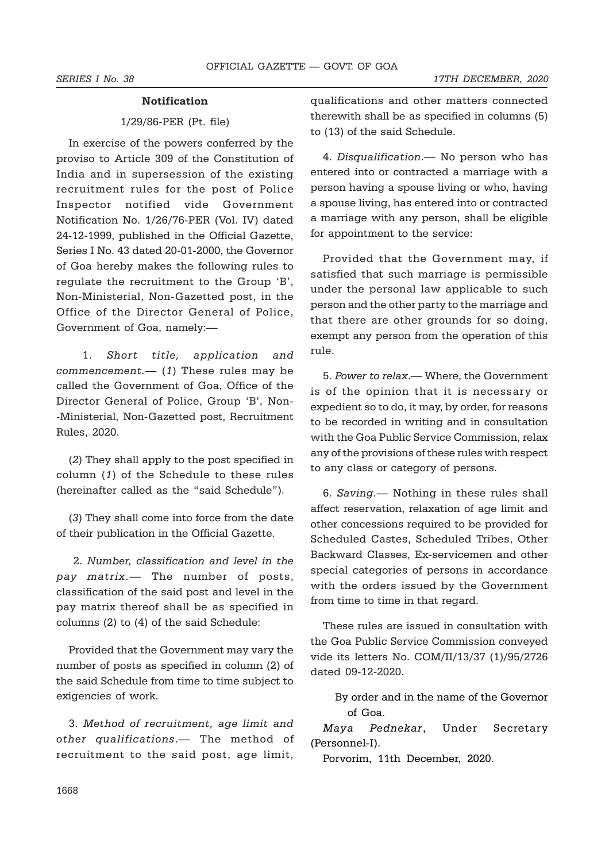#### Notification

## 1/29/86-PER (Pt. file)

In exercise of the powers conferred by the proviso to Article 309 of the Constitution of India and in supersession of the existing recruitment rules for the post of Police Inspector notified vide Government Notification No. 1/26/76-PER (Vol. IV) dated 24-12-1999, published in the Official Gazette, Series I No. 43 dated 20-01-2000, the Governor of Goa hereby makes the following rules to regulate the recruitment to the Group 'B', Non-Ministerial, Non-Gazetted post, in the Office of the Director General of Police, Government of Goa, namely:—

 1. Short title, application and  $comment. — (1)$  These rules may be called the Government of Goa, Office of the Director General of Police, Group 'B', Non- -Ministerial, Non-Gazetted post, Recruitment Rules, 2020.

(2) They shall apply to the post specified in column (1) of the Schedule to these rules (hereinafter called as the "said Schedule").

(3) They shall come into force from the date of their publication in the Official Gazette.

 2. Number, classification and level in the pay matrix.— The number of posts, classification of the said post and level in the pay matrix thereof shall be as specified in columns (2) to (4) of the said Schedule:

Provided that the Government may vary the number of posts as specified in column (2) of the said Schedule from time to time subject to exigencies of work.

3. Method of recruitment, age limit and other qualifications.— The method of recruitment to the said post, age limit,

qualifications and other matters connected therewith shall be as specified in columns (5) to (13) of the said Schedule.

4. Disqualification.— No person who has entered into or contracted a marriage with a person having a spouse living or who, having a spouse living, has entered into or contracted a marriage with any person, shall be eligible for appointment to the service:

Provided that the Government may, if satisfied that such marriage is permissible under the personal law applicable to such person and the other party to the marriage and that there are other grounds for so doing, exempt any person from the operation of this rule.

5. Power to relax.— Where, the Government is of the opinion that it is necessary or expedient so to do, it may, by order, for reasons to be recorded in writing and in consultation with the Goa Public Service Commission, relax any of the provisions of these rules with respect to any class or category of persons.

6. Saving.— Nothing in these rules shall affect reservation, relaxation of age limit and other concessions required to be provided for Scheduled Castes, Scheduled Tribes, Other Backward Classes, Ex-servicemen and other special categories of persons in accordance with the orders issued by the Government from time to time in that regard.

These rules are issued in consultation with the Goa Public Service Commission conveyed vide its letters No. COM/II/13/37 (1)/95/2726 dated 09-12-2020.

By order and in the name of the Governor of Goa.

Maya Pednekar, Under Secretary (Personnel-I).

Porvorim, 11th December, 2020.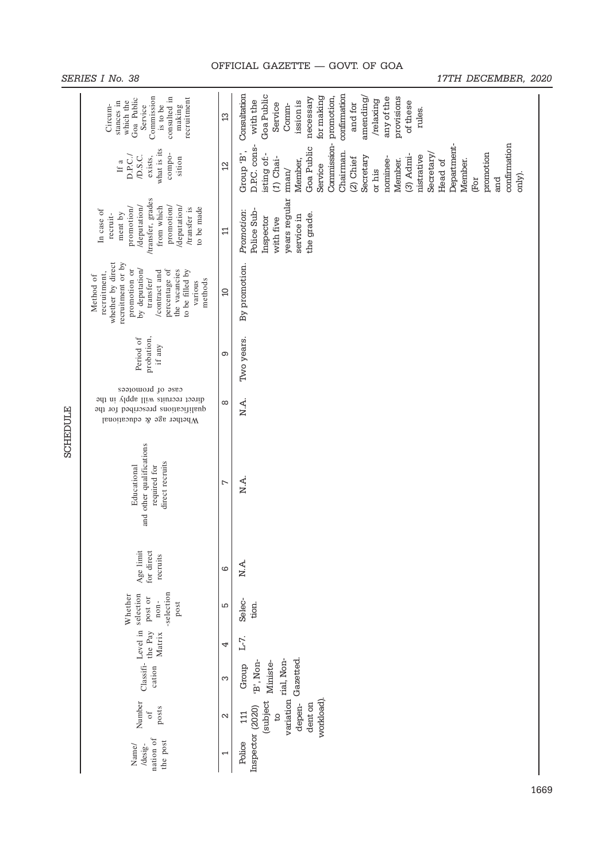|          | SERIES I No. 38<br>17TH DECEMBER, 2020                                                                                                                                                                         |                |                                                                                                                                                                                                                                                                                                                                                    |  |  |  |
|----------|----------------------------------------------------------------------------------------------------------------------------------------------------------------------------------------------------------------|----------------|----------------------------------------------------------------------------------------------------------------------------------------------------------------------------------------------------------------------------------------------------------------------------------------------------------------------------------------------------|--|--|--|
|          | Commission<br>consulted in<br>recruitment<br>Goa Public<br>which the<br>stances in<br>making<br>Service<br>is to be<br>Circum-                                                                                 | $\mathfrak{L}$ | Consultation<br>confirmation<br>Goa Public<br>for making<br>amending/<br>any of the<br>necessary<br>provisions<br>/relaxing<br>with the<br>ission is<br>of these<br>and for<br>Service<br>Comm-<br>rules.                                                                                                                                          |  |  |  |
|          | what is its<br>compo-<br>D.P.C./<br>D.S.C.<br>exists,<br>sition<br>If a                                                                                                                                        | $\overline{2}$ | Commission-promotion,<br>confirmation<br>Department-<br>D.P.C. cons-<br>Goa Public<br>Group 'B',<br>Chairman.<br>promotion<br>isting of:-<br>$(3)$ Admi-<br>Secretary.<br>nistrative<br>Secretary<br>$(1)$ Chai-<br>(2) Chief<br>nominee-<br>Member.<br>Member,<br>Member.<br>Head of<br>Service<br>$r$ man $/$<br>or his<br>only).<br>and<br>(For |  |  |  |
|          | /transfer, grades<br>/deputation/<br>from which<br>promotion<br>/deputation/<br>promotion/<br>/transfer is<br>to be made<br>In case of<br>ment by<br>recruit-                                                  | $\Xi$          | years regular<br>Police Sub-<br>Promotion:<br>the grade.<br>service in<br>Inspector<br>with five                                                                                                                                                                                                                                                   |  |  |  |
|          | whether by direct<br>recruitment or by<br>promotion or<br>by deputation/<br>percentage of<br>the vacancies<br>to be filled by<br>/contract and<br>recruitment,<br>Method of<br>transfer/<br>methods<br>various | $\Omega$       | By promotion.                                                                                                                                                                                                                                                                                                                                      |  |  |  |
|          | probation,<br>Period of<br>if any $\,$                                                                                                                                                                         | ၜ              | Two years.                                                                                                                                                                                                                                                                                                                                         |  |  |  |
|          | case of promotees<br>direct recruits will apply in the<br>qualifications prescribed for the<br>Whether age & educational                                                                                       | ${}^{\circ}$   | N.A.                                                                                                                                                                                                                                                                                                                                               |  |  |  |
| SCHEDULE | and other qualifications<br>direct recruits<br>required for<br>Educational                                                                                                                                     | $\overline{ }$ | N.A.                                                                                                                                                                                                                                                                                                                                               |  |  |  |
|          | Age limit<br>for direct<br>recruits                                                                                                                                                                            | ပ              | N.A.                                                                                                                                                                                                                                                                                                                                               |  |  |  |
|          | -selection<br>Whether<br>Classifi- Level in selection<br>post or<br>non-<br>post                                                                                                                               | Б              | Selec-<br>tion.                                                                                                                                                                                                                                                                                                                                    |  |  |  |
|          | the Pay<br>Matrix                                                                                                                                                                                              | 4              | L-7.                                                                                                                                                                                                                                                                                                                                               |  |  |  |
|          | cation                                                                                                                                                                                                         | S              | Gazetted.<br>'B', Non-<br>Ministe-<br>Group                                                                                                                                                                                                                                                                                                        |  |  |  |
|          | Number<br>posts<br>$\sigma f$                                                                                                                                                                                  | 2              | variation rial, Non-<br>workload).<br>(subject<br>dent on<br>depen-<br>111<br>$\beta$                                                                                                                                                                                                                                                              |  |  |  |
|          | nation of<br>the post<br>Name/<br>/desig-                                                                                                                                                                      | 1              | Inspector (2020)<br>Police                                                                                                                                                                                                                                                                                                                         |  |  |  |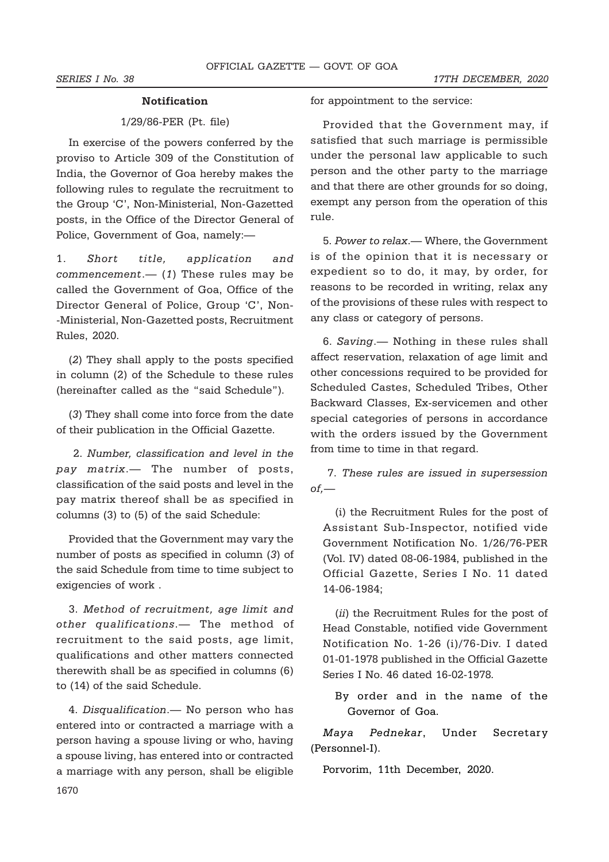### Notification

## 1/29/86-PER (Pt. file)

In exercise of the powers conferred by the proviso to Article 309 of the Constitution of India, the Governor of Goa hereby makes the following rules to regulate the recruitment to the Group 'C', Non-Ministerial, Non-Gazetted posts, in the Office of the Director General of Police, Government of Goa, namely:—

1. Short title, application and  $comment. — (1)$  These rules may be called the Government of Goa, Office of the Director General of Police, Group 'C', Non- -Ministerial, Non-Gazetted posts, Recruitment Rules, 2020.

(2) They shall apply to the posts specified in column (2) of the Schedule to these rules (hereinafter called as the "said Schedule").

(3) They shall come into force from the date of their publication in the Official Gazette.

 2. Number, classification and level in the pay matrix.— The number of posts, classification of the said posts and level in the pay matrix thereof shall be as specified in columns (3) to (5) of the said Schedule:

Provided that the Government may vary the number of posts as specified in column (3) of the said Schedule from time to time subject to exigencies of work .

3. Method of recruitment, age limit and other qualifications.— The method of recruitment to the said posts, age limit, qualifications and other matters connected therewith shall be as specified in columns (6) to (14) of the said Schedule.

4. Disqualification.— No person who has entered into or contracted a marriage with a person having a spouse living or who, having a spouse living, has entered into or contracted a marriage with any person, shall be eligible

for appointment to the service:

Provided that the Government may, if satisfied that such marriage is permissible under the personal law applicable to such person and the other party to the marriage and that there are other grounds for so doing, exempt any person from the operation of this rule.

5. Power to relax.— Where, the Government is of the opinion that it is necessary or expedient so to do, it may, by order, for reasons to be recorded in writing, relax any of the provisions of these rules with respect to any class or category of persons.

6. Saving.— Nothing in these rules shall affect reservation, relaxation of age limit and other concessions required to be provided for Scheduled Castes, Scheduled Tribes, Other Backward Classes, Ex-servicemen and other special categories of persons in accordance with the orders issued by the Government from time to time in that regard.

 7. These rules are issued in supersession  $of.$ —

(i) the Recruitment Rules for the post of Assistant Sub-Inspector, notified vide Government Notification No. 1/26/76-PER (Vol. IV) dated 08-06-1984, published in the Official Gazette, Series I No. 11 dated 14-06-1984;

(*ii*) the Recruitment Rules for the post of Head Constable, notified vide Government Notification No. 1-26 (i)/76-Div. I dated 01-01-1978 published in the Official Gazette Series I No. 46 dated 16-02-1978.

By order and in the name of the Governor of Goa.

Maya Pednekar, Under Secretary (Personnel-I).

Porvorim, 11th December, 2020.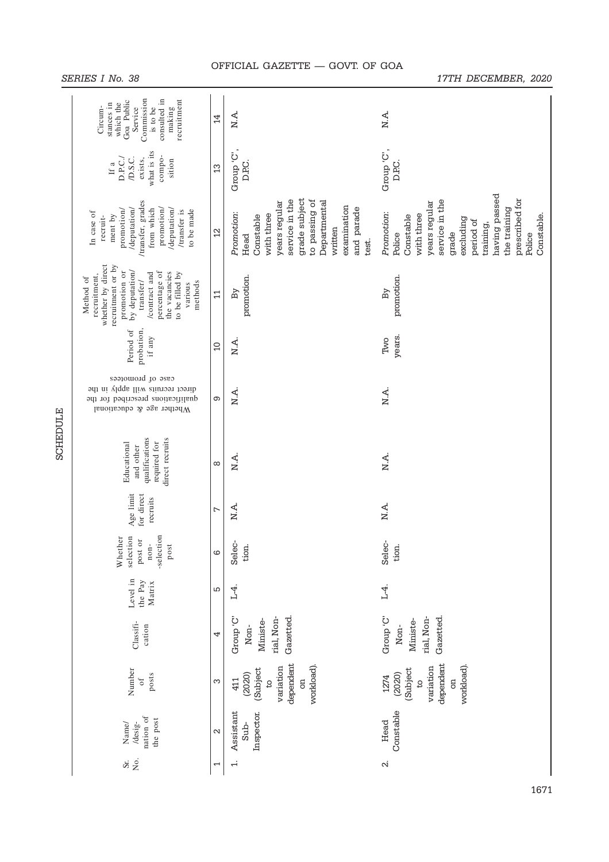| Commission<br>consulted in<br>recruitment<br>Goa Public<br>stances in<br>which the<br>Service<br>is to be<br>Circum-<br>making                                                                                 | $\overline{4}$    | N.A.                                                                                                                                                                                | N.A.                                                                                                                                                                                                         |
|----------------------------------------------------------------------------------------------------------------------------------------------------------------------------------------------------------------|-------------------|-------------------------------------------------------------------------------------------------------------------------------------------------------------------------------------|--------------------------------------------------------------------------------------------------------------------------------------------------------------------------------------------------------------|
| what is its<br>compo-<br>D.S.C.<br>exists,<br>D.P.C.<br>sition<br>If a                                                                                                                                         | $\mathfrak{L}$    | Group 'C',<br>D <sub>PC</sub>                                                                                                                                                       | Group 'C',<br>D.P.C.                                                                                                                                                                                         |
| /transfer, grades<br>promotion<br>/deputation/<br>from which<br>/deputation/<br>promotion/<br>/transfer is<br>to be made<br>In case of<br>ment by<br>recruit-                                                  | $\overline{2}$    | grade subject<br>service in the<br>to passing of<br>Departmental<br>years regular<br>examination<br>and parade<br>Promotion:<br>with three<br>Constable<br>written<br>Head<br>test. | having passed<br>prescribed for<br>service in the<br>years regular<br>the training<br>Promotion:<br>with three<br>Constable<br>Constable<br>excluding<br>period of<br>training,<br>grade<br>Police<br>Police |
| whether by direct<br>recruitment or by<br>promotion or<br>by deputation/<br>percentage of<br>to be filled by<br>the vacancies<br>/contract and<br>recruitment,<br>Method of<br>methods<br>transfer/<br>various | $\Xi$             | promotion.<br>By                                                                                                                                                                    | promotion.<br>By                                                                                                                                                                                             |
| Period of<br>probation,<br>if any                                                                                                                                                                              | $\Omega$          | N A.                                                                                                                                                                                | years.<br>Two                                                                                                                                                                                                |
| case of promotees<br>direct recruits will apply in the<br>qualifications prescribed for the<br>Whether age & educational                                                                                       | Θ                 | N.A.                                                                                                                                                                                | N.A.                                                                                                                                                                                                         |
| qualifications<br>direct recruits<br>required for<br>Educational<br>and other                                                                                                                                  | ${}^{\circ}$      | N.A.                                                                                                                                                                                | N.A.                                                                                                                                                                                                         |
| Age limit<br>for direct<br>recruits                                                                                                                                                                            | $\overline{ }$    | N.A.                                                                                                                                                                                | N.A.                                                                                                                                                                                                         |
| -selection<br>selection<br>Whether<br>post or<br>$non-$<br>post                                                                                                                                                | $\circ$           | Selec-<br>tion.                                                                                                                                                                     | Selec-<br>tion.                                                                                                                                                                                              |
| Level in<br>the Pay<br>Matrix                                                                                                                                                                                  | S                 | Г4.                                                                                                                                                                                 | $L_{\overline{4}}$                                                                                                                                                                                           |
| Classifi-<br>cation                                                                                                                                                                                            | 4                 | rial, Non-<br>Group'C'<br>Gazetted.<br>Ministe-<br>Non-                                                                                                                             | Croup'C"<br>Gazetted.<br>rial, Non-<br>Ministe-<br>Non-                                                                                                                                                      |
| Number<br>posts<br>$\circ$ f                                                                                                                                                                                   | S                 | dependent<br>variation<br>workload)<br>(Subject<br>(2020)<br>$\overline{a}$<br>411<br>$\beta$                                                                                       | dependent<br>workload)<br>variation<br>(Subject<br>(2020)<br>1274<br>co<br>$\beta$                                                                                                                           |
| nation of<br>the post<br>/desig-<br>Name/                                                                                                                                                                      | $\mathbf{\Omega}$ | Assistant<br>Inspector.<br>$Sub-$                                                                                                                                                   | Constable<br>Head                                                                                                                                                                                            |
| Σó.<br>Sr.                                                                                                                                                                                                     | 1                 | $\ddot{ }$                                                                                                                                                                          | $\mathbf{r}$                                                                                                                                                                                                 |

SCHEDULE

SERIES I No. 38 17TH DECEMBER, 2020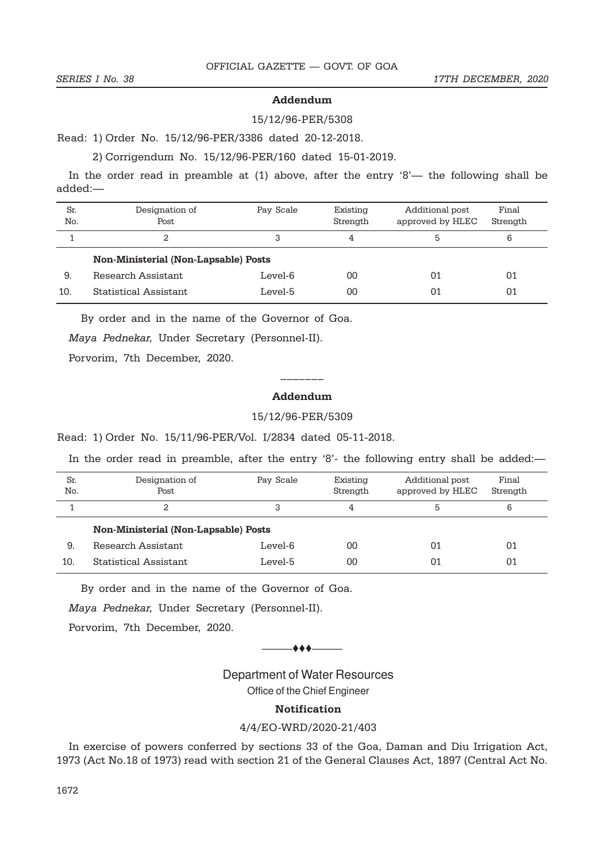#### Addendum

#### 15/12/96-PER/5308

Read: 1) Order No. 15/12/96-PER/3386 dated 20-12-2018.

2) Corrigendum No. 15/12/96-PER/160 dated 15-01-2019.

In the order read in preamble at (1) above, after the entry '8'— the following shall be added:—

| Sr.<br>No. | Designation of<br>Post                      | Pay Scale | Existing<br>Strength | Additional post<br>approved by HLEC | Final<br>Strength |
|------------|---------------------------------------------|-----------|----------------------|-------------------------------------|-------------------|
|            | 2                                           | 3         | 4                    | 5                                   | 6                 |
|            | <b>Non-Ministerial (Non-Lapsable) Posts</b> |           |                      |                                     |                   |
| 9.         | Research Assistant                          | Level-6   | 00                   | 01                                  | 01                |
| 10.        | Statistical Assistant                       | Level-5   | 00                   | በ1                                  | 01                |

By order and in the name of the Governor of Goa.

Maya Pednekar, Under Secretary (Personnel-II).

Porvorim, 7th December, 2020.

# ––––––– Addendum

### 15/12/96-PER/5309

Read: 1) Order No. 15/11/96-PER/Vol. I/2834 dated 05-11-2018.

In the order read in preamble, after the entry '8'- the following entry shall be added:—

| Sr.<br>No. | Designation of<br>Post                      | Pay Scale | Existing<br>Strength | Additional post<br>approved by HLEC | Final<br>Strength |
|------------|---------------------------------------------|-----------|----------------------|-------------------------------------|-------------------|
|            | 2                                           | 3         | 4                    | 5                                   | 6                 |
|            | <b>Non-Ministerial (Non-Lapsable) Posts</b> |           |                      |                                     |                   |
| 9.         | Research Assistant                          | Level-6   | 00                   | 01                                  | 01                |
| 10.        | Statistical Assistant                       | Level-5   | 00                   | 01                                  | 01                |

By order and in the name of the Governor of Goa.

Maya Pednekar, Under Secretary (Personnel-II).

Porvorim, 7th December, 2020.

 $\leftrightarrow$   $\leftarrow$ 

Department of Water Resources

Office of the Chief Engineer

## Notification

4/4/EO-WRD/2020-21/403

In exercise of powers conferred by sections 33 of the Goa, Daman and Diu Irrigation Act, 1973 (Act No.18 of 1973) read with section 21 of the General Clauses Act, 1897 (Central Act No.